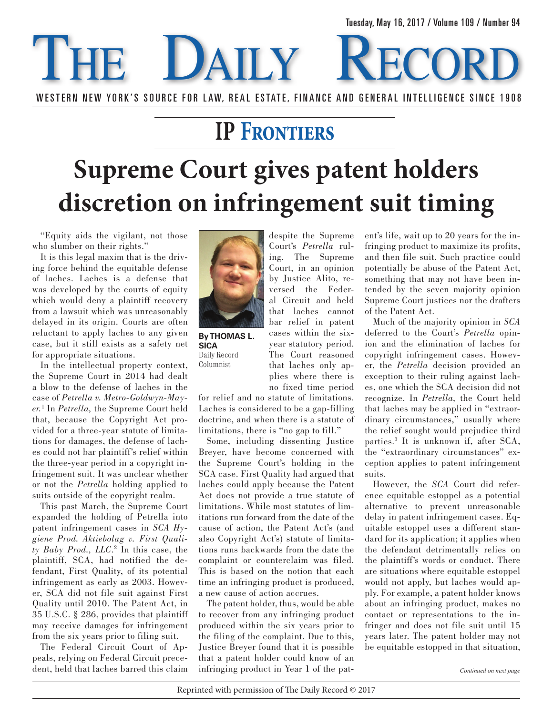## **DAILY** WESTERN NEW YORK'S SOURCE FOR LAW, REAL ESTATE, FINANCE AND GENERAL INTELLIGENCE SINCE 1908

## **IP Frontiers**

## **Supreme Court gives patent holders discretion on infringement suit timing**

"Equity aids the vigilant, not those who slumber on their rights."

It is this legal maxim that is the driving force behind the equitable defense of laches. Laches is a defense that was developed by the courts of equity which would deny a plaintiff recovery from a lawsuit which was unreasonably delayed in its origin. Courts are often reluctant to apply laches to any given case, but it still exists as a safety net for appropriate situations.

In the intellectual property context, the Supreme Court in 2014 had dealt a blow to the defense of laches in the case of *Petrella v. Metro-Goldwyn-Mayer.*<sup>1</sup> In *Petrella,* the Supreme Court held that, because the Copyright Act provided for a three-year statute of limitations for damages, the defense of laches could not bar plaintiff's relief within the three-year period in a copyright infringement suit. It was unclear whether or not the *Petrella* holding applied to suits outside of the copyright realm.

This past March, the Supreme Court expanded the holding of Petrella into patent infringement cases in *SCA Hygiene Prod. Aktiebolag v. First Quality Baby Prod., LLC*. 2 In this case, the plaintiff, SCA, had notified the defendant, First Quality, of its potential infringement as early as 2003. However, SCA did not file suit against First Quality until 2010. The Patent Act, in 35 U.S.C. § 286, provides that plaintiff may receive damages for infringement from the six years prior to filing suit.

The Federal Circuit Court of Appeals, relying on Federal Circuit precedent, held that laches barred this claim



**By THOMAS L. SICA** Daily Record Columnist

no fixed time period for relief and no statute of limitations. Laches is considered to be a gap-filling doctrine, and when there is a statute of limitations, there is "no gap to fill."

cases within the sixyear statutory period. The Court reasoned that laches only applies where there is

Some, including dissenting Justice Breyer, have become concerned with the Supreme Court's holding in the SCA case. First Quality had argued that laches could apply because the Patent Act does not provide a true statute of limitations. While most statutes of limitations run forward from the date of the cause of action, the Patent Act's (and also Copyright Act's) statute of limitations runs backwards from the date the complaint or counterclaim was filed. This is based on the notion that each time an infringing product is produced, a new cause of action accrues.

The patent holder, thus, would be able to recover from any infringing product produced within the six years prior to the filing of the complaint. Due to this, Justice Breyer found that it is possible that a patent holder could know of an infringing product in Year 1 of the patent's life, wait up to 20 years for the infringing product to maximize its profits, and then file suit. Such practice could potentially be abuse of the Patent Act, something that may not have been intended by the seven majority opinion Supreme Court justices nor the drafters of the Patent Act.

Much of the majority opinion in *SCA* deferred to the Court's *Petrella* opinion and the elimination of laches for copyright infringement cases. However, the *Petrella* decision provided an exception to their ruling against laches, one which the SCA decision did not recognize. In *Petrella,* the Court held that laches may be applied in "extraordinary circumstances," usually where the relief sought would prejudice third parties.3 It is unknown if, after SCA, the "extraordinary circumstances" exception applies to patent infringement suits.

However, the *SCA* Court did reference equitable estoppel as a potential alternative to prevent unreasonable delay in patent infringement cases. Equitable estoppel uses a different standard for its application; it applies when the defendant detrimentally relies on the plaintiff's words or conduct. There are situations where equitable estoppel would not apply, but laches would apply. For example, a patent holder knows about an infringing product, makes no contact or representations to the infringer and does not file suit until 15 years later. The patent holder may not be equitable estopped in that situation,